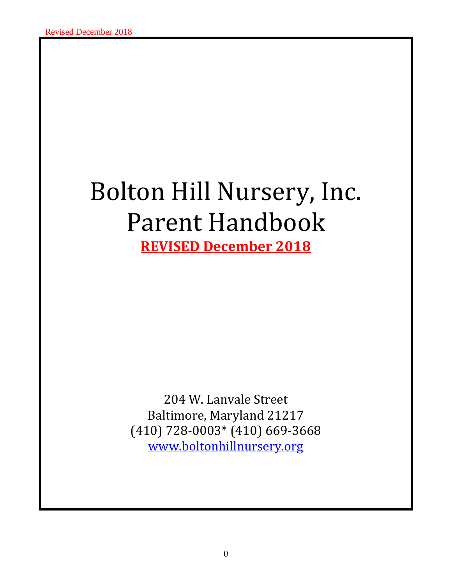# Bolton Hill Nursery, Inc. Parent Handbook **REVISED December 2018**

204 W. Lanvale Street Baltimore, Maryland 21217 (410) 728-0003\* (410) 669-3668 [www.boltonhillnursery.org](http://www.boltonhillnursery.org/)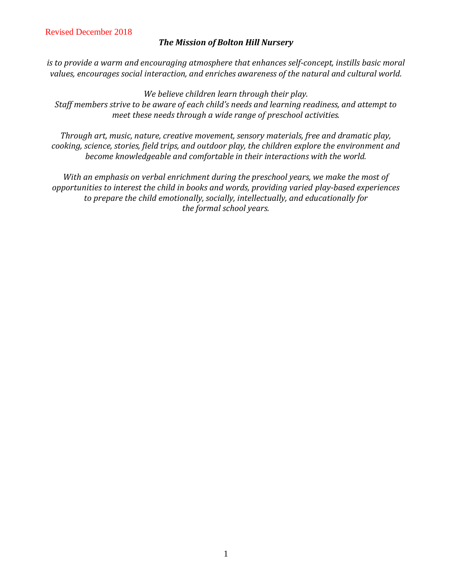#### *The Mission of Bolton Hill Nursery*

*is to provide a warm and encouraging atmosphere that enhances self-concept, instills basic moral values, encourages social interaction, and enriches awareness of the natural and cultural world.*

*We believe children learn through their play.*

*Staff members strive to be aware of each child's needs and learning readiness, and attempt to meet these needs through a wide range of preschool activities.*

*Through art, music, nature, creative movement, sensory materials, free and dramatic play, cooking, science, stories, field trips, and outdoor play, the children explore the environment and become knowledgeable and comfortable in their interactions with the world.*

*With an emphasis on verbal enrichment during the preschool years, we make the most of opportunities to interest the child in books and words, providing varied play-based experiences to prepare the child emotionally, socially, intellectually, and educationally for the formal school years.*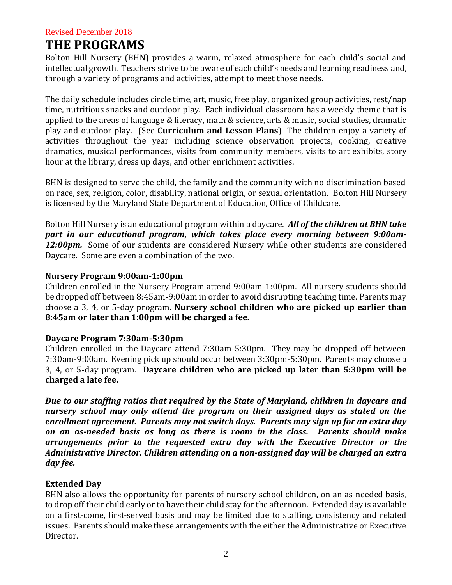# **THE PROGRAMS**

Bolton Hill Nursery (BHN) provides a warm, relaxed atmosphere for each child's social and intellectual growth. Teachers strive to be aware of each child's needs and learning readiness and, through a variety of programs and activities, attempt to meet those needs.

The daily schedule includes circle time, art, music, free play, organized group activities, rest/nap time, nutritious snacks and outdoor play. Each individual classroom has a weekly theme that is applied to the areas of language & literacy, math & science, arts & music, social studies, dramatic play and outdoor play. (See **Curriculum and Lesson Plans**) The children enjoy a variety of activities throughout the year including science observation projects, cooking, creative dramatics, musical performances, visits from community members, visits to art exhibits, story hour at the library, dress up days, and other enrichment activities.

BHN is designed to serve the child, the family and the community with no discrimination based on race, sex, religion, color, disability, national origin, or sexual orientation. Bolton Hill Nursery is licensed by the Maryland State Department of Education, Office of Childcare.

Bolton Hill Nursery is an educational program within a daycare. *All of the children at BHN take part in our educational program, which takes place every morning between 9:00am-12:00pm.* Some of our students are considered Nursery while other students are considered Daycare. Some are even a combination of the two.

### **Nursery Program 9:00am-1:00pm**

Children enrolled in the Nursery Program attend 9:00am-1:00pm. All nursery students should be dropped off between 8:45am-9:00am in order to avoid disrupting teaching time. Parents may choose a 3, 4, or 5-day program. **Nursery school children who are picked up earlier than 8:45am or later than 1:00pm will be charged a fee.** 

# **Daycare Program 7:30am-5:30pm**

Children enrolled in the Daycare attend 7:30am-5:30pm. They may be dropped off between 7:30am-9:00am. Evening pick up should occur between 3:30pm-5:30pm. Parents may choose a 3, 4, or 5-day program. **Daycare children who are picked up later than 5:30pm will be charged a late fee.**

*Due to our staffing ratios that required by the State of Maryland, children in daycare and nursery school may only attend the program on their assigned days as stated on the enrollment agreement. Parents may not switch days. Parents may sign up for an extra day on an as-needed basis as long as there is room in the class. Parents should make arrangements prior to the requested extra day with the Executive Director or the Administrative Director. Children attending on a non-assigned day will be charged an extra day fee.*

# **Extended Day**

BHN also allows the opportunity for parents of nursery school children, on an as-needed basis, to drop off their child early or to have their child stay for the afternoon. Extended day is available on a first-come, first-served basis and may be limited due to staffing, consistency and related issues. Parents should make these arrangements with the either the Administrative or Executive Director.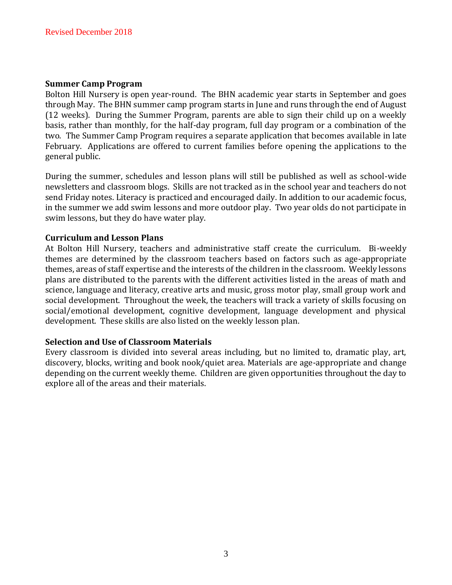#### **Summer Camp Program**

Bolton Hill Nursery is open year-round. The BHN academic year starts in September and goes through May. The BHN summer camp program starts in June and runs through the end of August (12 weeks). During the Summer Program, parents are able to sign their child up on a weekly basis, rather than monthly, for the half-day program, full day program or a combination of the two. The Summer Camp Program requires a separate application that becomes available in late February. Applications are offered to current families before opening the applications to the general public.

During the summer, schedules and lesson plans will still be published as well as school-wide newsletters and classroom blogs. Skills are not tracked as in the school year and teachers do not send Friday notes. Literacy is practiced and encouraged daily. In addition to our academic focus, in the summer we add swim lessons and more outdoor play. Two year olds do not participate in swim lessons, but they do have water play.

#### **Curriculum and Lesson Plans**

At Bolton Hill Nursery, teachers and administrative staff create the curriculum. Bi-weekly themes are determined by the classroom teachers based on factors such as age-appropriate themes, areas of staff expertise and the interests of the children in the classroom. Weekly lessons plans are distributed to the parents with the different activities listed in the areas of math and science, language and literacy, creative arts and music, gross motor play, small group work and social development. Throughout the week, the teachers will track a variety of skills focusing on social/emotional development, cognitive development, language development and physical development. These skills are also listed on the weekly lesson plan.

#### **Selection and Use of Classroom Materials**

Every classroom is divided into several areas including, but no limited to, dramatic play, art, discovery, blocks, writing and book nook/quiet area. Materials are age-appropriate and change depending on the current weekly theme. Children are given opportunities throughout the day to explore all of the areas and their materials.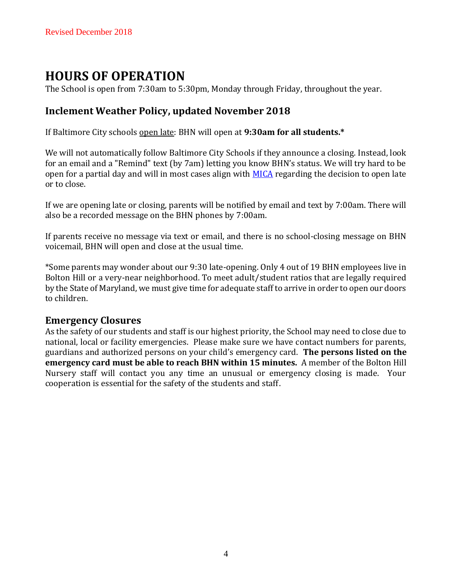# **HOURS OF OPERATION**

The School is open from 7:30am to 5:30pm, Monday through Friday, throughout the year.

# **Inclement Weather Policy, updated November 2018**

If Baltimore City schools open late: BHN will open at **9:30am for all students.\***

We will not automatically follow Baltimore City Schools if they announce a closing. Instead, look for an email and a "Remind" text (by 7am) letting you know BHN's status. We will try hard to be open for a partial day and will in most cases align with [MICA](http://www.mica.edu/) regarding the decision to open late or to close.

If we are opening late or closing, parents will be notified by email and text by 7:00am. There will also be a recorded message on the BHN phones by 7:00am.

If parents receive no message via text or email, and there is no school-closing message on BHN voicemail, BHN will open and close at the usual time.

\*Some parents may wonder about our 9:30 late-opening. Only 4 out of 19 BHN employees live in Bolton Hill or a very-near neighborhood. To meet adult/student ratios that are legally required by the State of Maryland, we must give time for adequate staff to arrive in order to open our doors to children.

# **Emergency Closures**

As the safety of our students and staff is our highest priority, the School may need to close due to national, local or facility emergencies. Please make sure we have contact numbers for parents, guardians and authorized persons on your child's emergency card. **The persons listed on the emergency card must be able to reach BHN within 15 minutes.** A member of the Bolton Hill Nursery staff will contact you any time an unusual or emergency closing is made. Your cooperation is essential for the safety of the students and staff.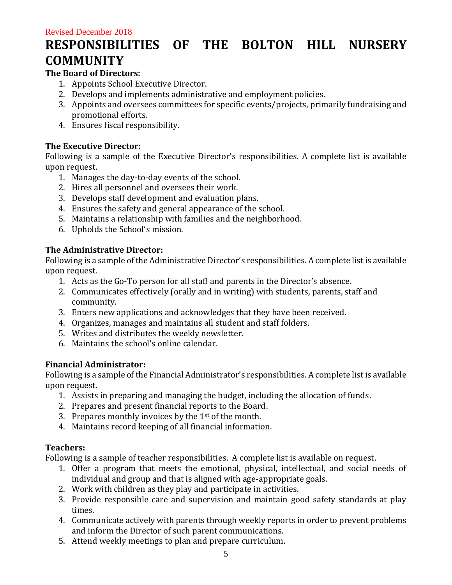# **RESPONSIBILITIES OF THE BOLTON HILL NURSERY COMMUNITY**

# **The Board of Directors:**

- 1. Appoints School Executive Director.
- 2. Develops and implements administrative and employment policies.
- 3. Appoints and oversees committees for specific events/projects, primarily fundraising and promotional efforts.
- 4. Ensures fiscal responsibility.

### **The Executive Director:**

Following is a sample of the Executive Director's responsibilities. A complete list is available upon request.

- 1. Manages the day-to-day events of the school.
- 2. Hires all personnel and oversees their work.
- 3. Develops staff development and evaluation plans.
- 4. Ensures the safety and general appearance of the school.
- 5. Maintains a relationship with families and the neighborhood.
- 6. Upholds the School's mission.

# **The Administrative Director:**

Following is a sample of the Administrative Director's responsibilities. A complete list is available upon request.

- 1. Acts as the Go-To person for all staff and parents in the Director's absence.
- 2. Communicates effectively (orally and in writing) with students, parents, staff and community.
- 3. Enters new applications and acknowledges that they have been received.
- 4. Organizes, manages and maintains all student and staff folders.
- 5. Writes and distributes the weekly newsletter.
- 6. Maintains the school's online calendar.

# **Financial Administrator:**

Following is a sample of the Financial Administrator's responsibilities. A complete list is available upon request.

- 1. Assists in preparing and managing the budget, including the allocation of funds.
- 2. Prepares and present financial reports to the Board.
- 3. Prepares monthly invoices by the  $1<sup>st</sup>$  of the month.
- 4. Maintains record keeping of all financial information.

# **Teachers:**

Following is a sample of teacher responsibilities. A complete list is available on request.

- 1. Offer a program that meets the emotional, physical, intellectual, and social needs of individual and group and that is aligned with age-appropriate goals.
- 2. Work with children as they play and participate in activities.
- 3. Provide responsible care and supervision and maintain good safety standards at play times.
- 4. Communicate actively with parents through weekly reports in order to prevent problems and inform the Director of such parent communications.
- 5. Attend weekly meetings to plan and prepare curriculum.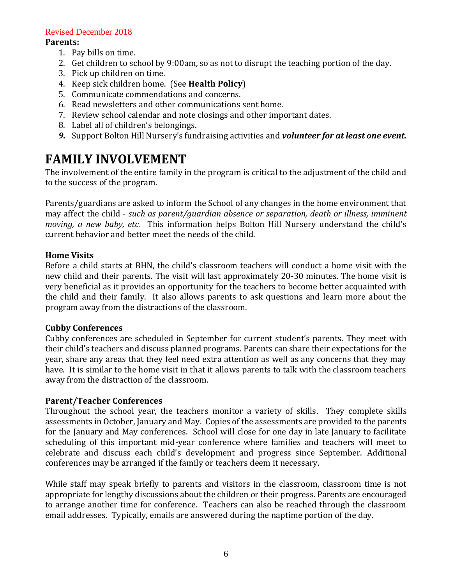#### **Parents:**

- 1. Pay bills on time.
- 2. Get children to school by 9:00am, so as not to disrupt the teaching portion of the day.
- 3. Pick up children on time.
- 4. Keep sick children home. (See **Health Policy**)
- 5. Communicate commendations and concerns.
- 6. Read newsletters and other communications sent home.
- 7. Review school calendar and note closings and other important dates.
- 8. Label all of children's belongings.
- *9.* Support Bolton Hill Nursery's fundraising activities and *volunteer for at least one event.*

# **FAMILY INVOLVEMENT**

The involvement of the entire family in the program is critical to the adjustment of the child and to the success of the program.

Parents/guardians are asked to inform the School of any changes in the home environment that may affect the child - *such as parent/guardian absence or separation, death or illness, imminent moving, a new baby, etc.* This information helps Bolton Hill Nursery understand the child's current behavior and better meet the needs of the child.

#### **Home Visits**

Before a child starts at BHN, the child's classroom teachers will conduct a home visit with the new child and their parents. The visit will last approximately 20-30 minutes. The home visit is very beneficial as it provides an opportunity for the teachers to become better acquainted with the child and their family. It also allows parents to ask questions and learn more about the program away from the distractions of the classroom.

#### **Cubby Conferences**

Cubby conferences are scheduled in September for current student's parents. They meet with their child's teachers and discuss planned programs. Parents can share their expectations for the year, share any areas that they feel need extra attention as well as any concerns that they may have. It is similar to the home visit in that it allows parents to talk with the classroom teachers away from the distraction of the classroom.

#### **Parent/Teacher Conferences**

Throughout the school year, the teachers monitor a variety of skills. They complete skills assessments in October, January and May. Copies of the assessments are provided to the parents for the January and May conferences. School will close for one day in late January to facilitate scheduling of this important mid-year conference where families and teachers will meet to celebrate and discuss each child's development and progress since September. Additional conferences may be arranged if the family or teachers deem it necessary.

While staff may speak briefly to parents and visitors in the classroom, classroom time is not appropriate for lengthy discussions about the children or their progress. Parents are encouraged to arrange another time for conference. Teachers can also be reached through the classroom email addresses. Typically, emails are answered during the naptime portion of the day.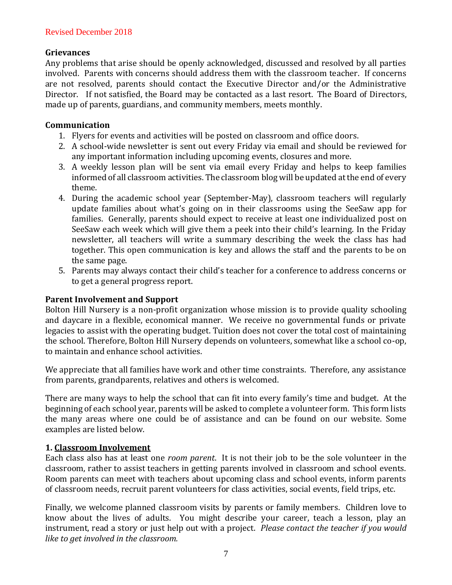### **Grievances**

Any problems that arise should be openly acknowledged, discussed and resolved by all parties involved. Parents with concerns should address them with the classroom teacher. If concerns are not resolved, parents should contact the Executive Director and/or the Administrative Director. If not satisfied, the Board may be contacted as a last resort. The Board of Directors, made up of parents, guardians, and community members, meets monthly.

#### **Communication**

- 1. Flyers for events and activities will be posted on classroom and office doors.
- 2. A school-wide newsletter is sent out every Friday via email and should be reviewed for any important information including upcoming events, closures and more.
- 3. A weekly lesson plan will be sent via email every Friday and helps to keep families informed of all classroom activities. The classroom blog will be updated at the end of every theme.
- 4. During the academic school year (September-May), classroom teachers will regularly update families about what's going on in their classrooms using the SeeSaw app for families. Generally, parents should expect to receive at least one individualized post on SeeSaw each week which will give them a peek into their child's learning. In the Friday newsletter, all teachers will write a summary describing the week the class has had together. This open communication is key and allows the staff and the parents to be on the same page.
- 5. Parents may always contact their child's teacher for a conference to address concerns or to get a general progress report.

# **Parent Involvement and Support**

Bolton Hill Nursery is a non-profit organization whose mission is to provide quality schooling and daycare in a flexible, economical manner. We receive no governmental funds or private legacies to assist with the operating budget. Tuition does not cover the total cost of maintaining the school. Therefore, Bolton Hill Nursery depends on volunteers, somewhat like a school co-op, to maintain and enhance school activities.

We appreciate that all families have work and other time constraints. Therefore, any assistance from parents, grandparents, relatives and others is welcomed.

There are many ways to help the school that can fit into every family's time and budget. At the beginning of each school year, parents will be asked to complete a volunteer form. This form lists the many areas where one could be of assistance and can be found on our website. Some examples are listed below.

# **1. Classroom Involvement**

Each class also has at least one *room parent*. It is not their job to be the sole volunteer in the classroom, rather to assist teachers in getting parents involved in classroom and school events. Room parents can meet with teachers about upcoming class and school events, inform parents of classroom needs, recruit parent volunteers for class activities, social events, field trips, etc.

Finally, we welcome planned classroom visits by parents or family members. Children love to know about the lives of adults. You might describe your career, teach a lesson, play an instrument, read a story or just help out with a project. *Please contact the teacher if you would like to get involved in the classroom.*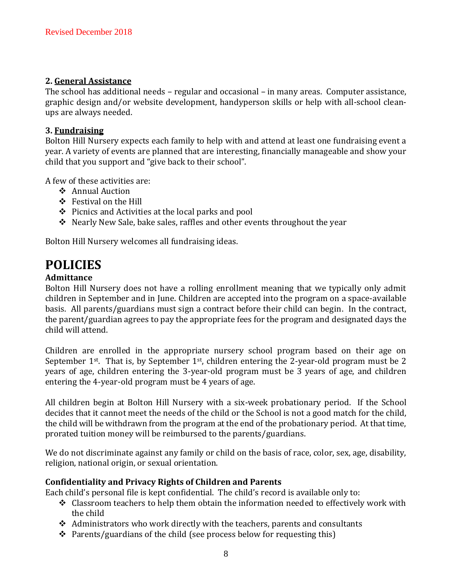#### **2. General Assistance**

The school has additional needs – regular and occasional – in many areas. Computer assistance, graphic design and/or website development, handyperson skills or help with all-school cleanups are always needed.

### **3. Fundraising**

Bolton Hill Nursery expects each family to help with and attend at least one fundraising event a year. A variety of events are planned that are interesting, financially manageable and show your child that you support and "give back to their school".

A few of these activities are:

- ❖ Annual Auction
- ❖ Festival on the Hill
- ❖ Picnics and Activities at the local parks and pool
- ❖ Nearly New Sale, bake sales, raffles and other events throughout the year

Bolton Hill Nursery welcomes all fundraising ideas.

# **POLICIES**

# **Admittance**

Bolton Hill Nursery does not have a rolling enrollment meaning that we typically only admit children in September and in June. Children are accepted into the program on a space-available basis. All parents/guardians must sign a contract before their child can begin. In the contract, the parent/guardian agrees to pay the appropriate fees for the program and designated days the child will attend.

Children are enrolled in the appropriate nursery school program based on their age on September  $1^{st}$ . That is, by September  $1^{st}$ , children entering the 2-year-old program must be 2 years of age, children entering the 3-year-old program must be 3 years of age, and children entering the 4-year-old program must be 4 years of age.

All children begin at Bolton Hill Nursery with a six-week probationary period. If the School decides that it cannot meet the needs of the child or the School is not a good match for the child, the child will be withdrawn from the program at the end of the probationary period. At that time, prorated tuition money will be reimbursed to the parents/guardians.

We do not discriminate against any family or child on the basis of race, color, sex, age, disability, religion, national origin, or sexual orientation.

# **Confidentiality and Privacy Rights of Children and Parents**

Each child's personal file is kept confidential. The child's record is available only to:

- ❖ Classroom teachers to help them obtain the information needed to effectively work with the child
- ❖ Administrators who work directly with the teachers, parents and consultants
- ❖ Parents/guardians of the child (see process below for requesting this)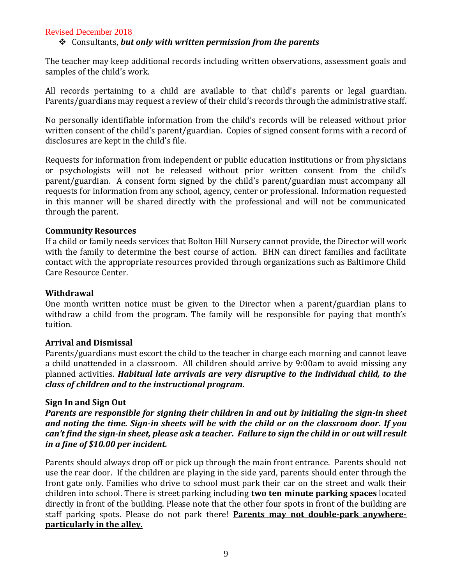#### ❖ Consultants, *but only with written permission from the parents*

The teacher may keep additional records including written observations, assessment goals and samples of the child's work.

All records pertaining to a child are available to that child's parents or legal guardian. Parents/guardians may request a review of their child's records through the administrative staff.

No personally identifiable information from the child's records will be released without prior written consent of the child's parent/guardian. Copies of signed consent forms with a record of disclosures are kept in the child's file.

Requests for information from independent or public education institutions or from physicians or psychologists will not be released without prior written consent from the child's parent/guardian. A consent form signed by the child's parent/guardian must accompany all requests for information from any school, agency, center or professional. Information requested in this manner will be shared directly with the professional and will not be communicated through the parent.

#### **Community Resources**

If a child or family needs services that Bolton Hill Nursery cannot provide, the Director will work with the family to determine the best course of action. BHN can direct families and facilitate contact with the appropriate resources provided through organizations such as Baltimore Child Care Resource Center.

#### **Withdrawal**

One month written notice must be given to the Director when a parent/guardian plans to withdraw a child from the program. The family will be responsible for paying that month's tuition.

#### **Arrival and Dismissal**

Parents/guardians must escort the child to the teacher in charge each morning and cannot leave a child unattended in a classroom. All children should arrive by 9:00am to avoid missing any planned activities. *Habitual late arrivals are very disruptive to the individual child, to the class of children and to the instructional program.*

#### **Sign In and Sign Out**

*Parents are responsible for signing their children in and out by initialing the sign-in sheet and noting the time. Sign-in sheets will be with the child or on the classroom door. If you can't find the sign-in sheet, please ask a teacher. Failure to sign the child in or out will result in a fine of \$10.00 per incident.* 

Parents should always drop off or pick up through the main front entrance. Parents should not use the rear door. If the children are playing in the side yard, parents should enter through the front gate only. Families who drive to school must park their car on the street and walk their children into school. There is street parking including **two ten minute parking spaces** located directly in front of the building. Please note that the other four spots in front of the building are staff parking spots. Please do not park there! **Parents may not double-park anywhereparticularly in the alley.**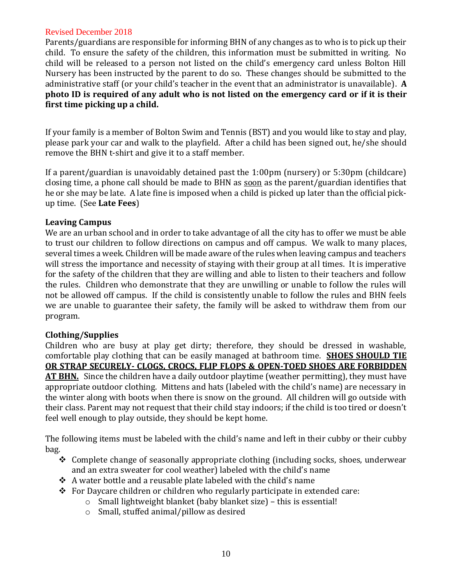Parents/guardians are responsible for informing BHN of any changes as to who is to pick up their child. To ensure the safety of the children, this information must be submitted in writing. No child will be released to a person not listed on the child's emergency card unless Bolton Hill Nursery has been instructed by the parent to do so. These changes should be submitted to the administrative staff (or your child's teacher in the event that an administrator is unavailable). **A photo ID is required of any adult who is not listed on the emergency card or if it is their first time picking up a child.**

If your family is a member of Bolton Swim and Tennis (BST) and you would like to stay and play, please park your car and walk to the playfield. After a child has been signed out, he/she should remove the BHN t-shirt and give it to a staff member.

If a parent/guardian is unavoidably detained past the 1:00pm (nursery) or 5:30pm (childcare) closing time, a phone call should be made to BHN as soon as the parent/guardian identifies that he or she may be late. A late fine is imposed when a child is picked up later than the official pickup time. (See **Late Fees**)

### **Leaving Campus**

We are an urban school and in order to take advantage of all the city has to offer we must be able to trust our children to follow directions on campus and off campus. We walk to many places, several times a week. Children will be made aware of the rules when leaving campus and teachers will stress the importance and necessity of staying with their group at all times. It is imperative for the safety of the children that they are willing and able to listen to their teachers and follow the rules. Children who demonstrate that they are unwilling or unable to follow the rules will not be allowed off campus. If the child is consistently unable to follow the rules and BHN feels we are unable to guarantee their safety, the family will be asked to withdraw them from our program.

# **Clothing/Supplies**

Children who are busy at play get dirty; therefore, they should be dressed in washable, comfortable play clothing that can be easily managed at bathroom time. **SHOES SHOULD TIE OR STRAP SECURELY- CLOGS, CROCS, FLIP FLOPS & OPEN-TOED SHOES ARE FORBIDDEN AT BHN.** Since the children have a daily outdoor playtime (weather permitting), they must have appropriate outdoor clothing. Mittens and hats (labeled with the child's name) are necessary in the winter along with boots when there is snow on the ground. All children will go outside with their class. Parent may not request that their child stay indoors; if the child is too tired or doesn't feel well enough to play outside, they should be kept home.

The following items must be labeled with the child's name and left in their cubby or their cubby bag.

- ❖ Complete change of seasonally appropriate clothing (including socks, shoes, underwear and an extra sweater for cool weather) labeled with the child's name
- ❖ A water bottle and a reusable plate labeled with the child's name
- ❖ For Daycare children or children who regularly participate in extended care:
	- o Small lightweight blanket (baby blanket size) this is essential!
	- o Small, stuffed animal/pillow as desired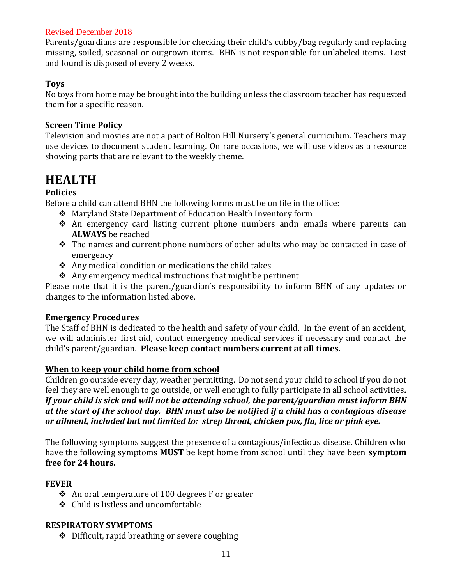Parents/guardians are responsible for checking their child's cubby/bag regularly and replacing missing, soiled, seasonal or outgrown items. BHN is not responsible for unlabeled items. Lost and found is disposed of every 2 weeks.

#### **Toys**

No toys from home may be brought into the building unless the classroom teacher has requested them for a specific reason.

#### **Screen Time Policy**

Television and movies are not a part of Bolton Hill Nursery's general curriculum. Teachers may use devices to document student learning. On rare occasions, we will use videos as a resource showing parts that are relevant to the weekly theme.

# **HEALTH**

# **Policies**

Before a child can attend BHN the following forms must be on file in the office:

- ❖ Maryland State Department of Education Health Inventory form
- ❖ An emergency card listing current phone numbers andn emails where parents can **ALWAYS** be reached
- ❖ The names and current phone numbers of other adults who may be contacted in case of emergency
- ❖ Any medical condition or medications the child takes
- $\triangle$  Any emergency medical instructions that might be pertinent

Please note that it is the parent/guardian's responsibility to inform BHN of any updates or changes to the information listed above.

#### **Emergency Procedures**

The Staff of BHN is dedicated to the health and safety of your child. In the event of an accident, we will administer first aid, contact emergency medical services if necessary and contact the child's parent/guardian. **Please keep contact numbers current at all times.**

# **When to keep your child home from school**

Children go outside every day, weather permitting. Do not send your child to school if you do not feel they are well enough to go outside, or well enough to fully participate in all school activities*. If your child is sick and will not be attending school, the parent/guardian must inform BHN at the start of the school day. BHN must also be notified if a child has a contagious disease or ailment, included but not limited to: strep throat, chicken pox, flu, lice or pink eye.*

The following symptoms suggest the presence of a contagious/infectious disease. Children who have the following symptoms **MUST** be kept home from school until they have been **symptom free for 24 hours.**

# **FEVER**

- ❖ An oral temperature of 100 degrees F or greater
- ❖ Child is listless and uncomfortable

#### **RESPIRATORY SYMPTOMS**

❖ Difficult, rapid breathing or severe coughing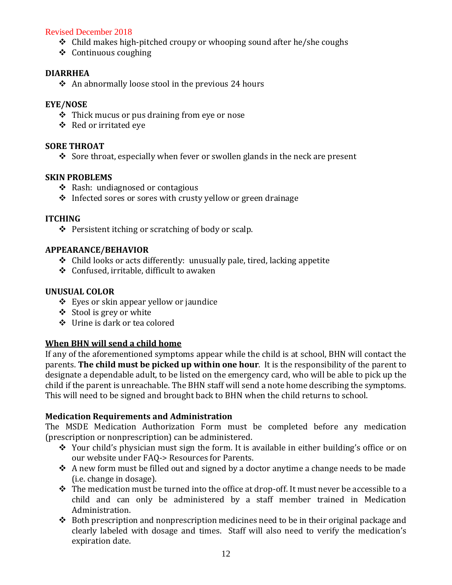- ❖ Child makes high-pitched croupy or whooping sound after he/she coughs
- ❖ Continuous coughing

#### **DIARRHEA**

❖ An abnormally loose stool in the previous 24 hours

#### **EYE/NOSE**

- ❖ Thick mucus or pus draining from eye or nose
- ❖ Red or irritated eye

#### **SORE THROAT**

 $\div$  Sore throat, especially when fever or swollen glands in the neck are present

#### **SKIN PROBLEMS**

- ❖ Rash: undiagnosed or contagious
- ❖ Infected sores or sores with crusty yellow or green drainage

#### **ITCHING**

❖ Persistent itching or scratching of body or scalp.

#### **APPEARANCE/BEHAVIOR**

- ❖ Child looks or acts differently: unusually pale, tired, lacking appetite
- ❖ Confused, irritable, difficult to awaken

#### **UNUSUAL COLOR**

- ❖ Eyes or skin appear yellow or jaundice
- ❖ Stool is grey or white
- ❖ Urine is dark or tea colored

#### **When BHN will send a child home**

If any of the aforementioned symptoms appear while the child is at school, BHN will contact the parents. **The child must be picked up within one hour***.* It is the responsibility of the parent to designate a dependable adult, to be listed on the emergency card, who will be able to pick up the child if the parent is unreachable. The BHN staff will send a note home describing the symptoms. This will need to be signed and brought back to BHN when the child returns to school.

#### **Medication Requirements and Administration**

The MSDE Medication Authorization Form must be completed before any medication (prescription or nonprescription) can be administered.

- ❖ Your child's physician must sign the form. It is available in either building's office or on our website under FAQ-> Resources for Parents.
- $\triangle$  A new form must be filled out and signed by a doctor anytime a change needs to be made (i.e. change in dosage).
- ❖ The medication must be turned into the office at drop-off. It must never be accessible to a child and can only be administered by a staff member trained in Medication Administration.
- ◆ Both prescription and nonprescription medicines need to be in their original package and clearly labeled with dosage and times. Staff will also need to verify the medication's expiration date.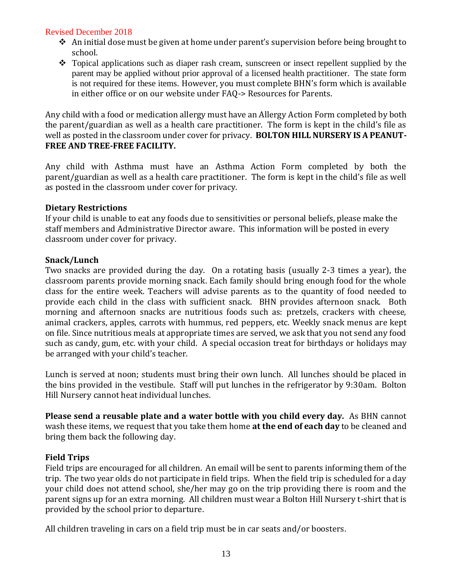- ❖ An initial dose must be given at home under parent's supervision before being brought to school.
- ❖ Topical applications such as diaper rash cream, sunscreen or insect repellent supplied by the parent may be applied without prior approval of a licensed health practitioner. The state form is not required for these items. However, you must complete BHN's form which is available in either office or on our website under FAQ-> Resources for Parents.

Any child with a food or medication allergy must have an Allergy Action Form completed by both the parent/guardian as well as a health care practitioner. The form is kept in the child's file as well as posted in the classroom under cover for privacy. **BOLTON HILL NURSERY IS A PEANUT-FREE AND TREE-FREE FACILITY.**

Any child with Asthma must have an Asthma Action Form completed by both the parent/guardian as well as a health care practitioner. The form is kept in the child's file as well as posted in the classroom under cover for privacy.

#### **Dietary Restrictions**

If your child is unable to eat any foods due to sensitivities or personal beliefs, please make the staff members and Administrative Director aware. This information will be posted in every classroom under cover for privacy.

#### **Snack/Lunch**

Two snacks are provided during the day. On a rotating basis (usually 2-3 times a year), the classroom parents provide morning snack. Each family should bring enough food for the whole class for the entire week. Teachers will advise parents as to the quantity of food needed to provide each child in the class with sufficient snack. BHN provides afternoon snack. Both morning and afternoon snacks are nutritious foods such as: pretzels, crackers with cheese, animal crackers, apples, carrots with hummus, red peppers, etc. Weekly snack menus are kept on file. Since nutritious meals at appropriate times are served, we ask that you not send any food such as candy, gum, etc. with your child. A special occasion treat for birthdays or holidays may be arranged with your child's teacher.

Lunch is served at noon; students must bring their own lunch. All lunches should be placed in the bins provided in the vestibule. Staff will put lunches in the refrigerator by 9:30am. Bolton Hill Nursery cannot heat individual lunches.

**Please send a reusable plate and a water bottle with you child every day.** As BHN cannot wash these items, we request that you take them home **at the end of each day** to be cleaned and bring them back the following day.

#### **Field Trips**

Field trips are encouraged for all children. An email will be sent to parents informing them of the trip. The two year olds do not participate in field trips. When the field trip is scheduled for a day your child does not attend school, she/her may go on the trip providing there is room and the parent signs up for an extra morning. All children must wear a Bolton Hill Nursery t-shirt that is provided by the school prior to departure.

All children traveling in cars on a field trip must be in car seats and/or boosters.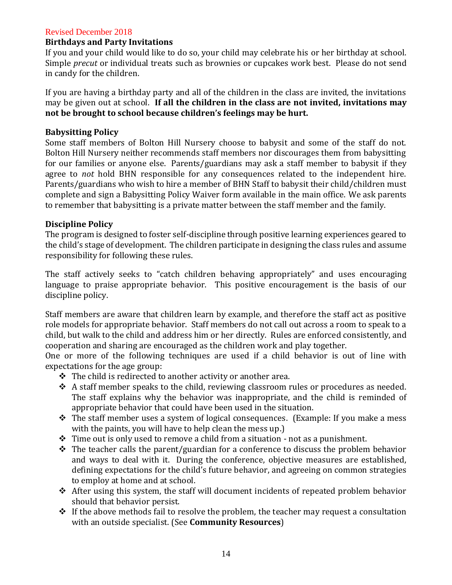#### **Birthdays and Party Invitations**

If you and your child would like to do so, your child may celebrate his or her birthday at school. Simple *precut* or individual treats such as brownies or cupcakes work best. Please do not send in candy for the children.

If you are having a birthday party and all of the children in the class are invited, the invitations may be given out at school. **If all the children in the class are not invited, invitations may not be brought to school because children's feelings may be hurt.**

#### **Babysitting Policy**

Some staff members of Bolton Hill Nursery choose to babysit and some of the staff do not. Bolton Hill Nursery neither recommends staff members nor discourages them from babysitting for our families or anyone else. Parents/guardians may ask a staff member to babysit if they agree to *not* hold BHN responsible for any consequences related to the independent hire. Parents/guardians who wish to hire a member of BHN Staff to babysit their child/children must complete and sign a Babysitting Policy Waiver form available in the main office. We ask parents to remember that babysitting is a private matter between the staff member and the family.

#### **Discipline Policy**

The program is designed to foster self-discipline through positive learning experiences geared to the child's stage of development. The children participate in designing the class rules and assume responsibility for following these rules.

The staff actively seeks to "catch children behaving appropriately" and uses encouraging language to praise appropriate behavior. This positive encouragement is the basis of our discipline policy.

Staff members are aware that children learn by example, and therefore the staff act as positive role models for appropriate behavior. Staff members do not call out across a room to speak to a child, but walk to the child and address him or her directly. Rules are enforced consistently, and cooperation and sharing are encouraged as the children work and play together.

One or more of the following techniques are used if a child behavior is out of line with expectations for the age group:

- ❖ The child is redirected to another activity or another area.
- ❖ A staff member speaks to the child, reviewing classroom rules or procedures as needed. The staff explains why the behavior was inappropriate, and the child is reminded of appropriate behavior that could have been used in the situation.
- ❖ The staff member uses a system of logical consequences. (Example: If you make a mess with the paints, you will have to help clean the mess up.)
- ❖ Time out is only used to remove a child from a situation not as a punishment.
- ❖ The teacher calls the parent/guardian for a conference to discuss the problem behavior and ways to deal with it. During the conference, objective measures are established, defining expectations for the child's future behavior, and agreeing on common strategies to employ at home and at school.
- ❖ After using this system, the staff will document incidents of repeated problem behavior should that behavior persist.
- ❖ If the above methods fail to resolve the problem, the teacher may request a consultation with an outside specialist. (See **Community Resources**)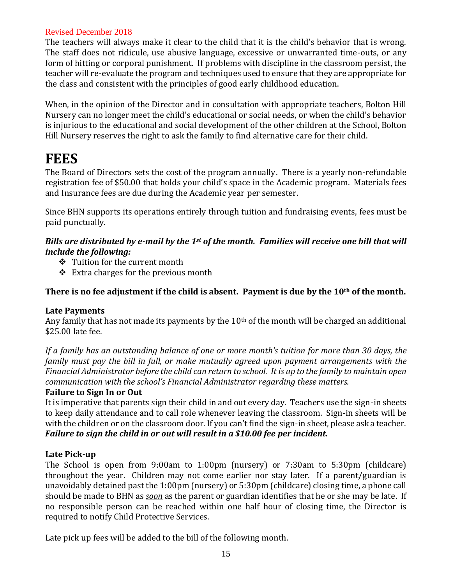The teachers will always make it clear to the child that it is the child's behavior that is wrong. The staff does not ridicule, use abusive language, excessive or unwarranted time-outs, or any form of hitting or corporal punishment. If problems with discipline in the classroom persist, the teacher will re-evaluate the program and techniques used to ensure that they are appropriate for the class and consistent with the principles of good early childhood education.

When, in the opinion of the Director and in consultation with appropriate teachers, Bolton Hill Nursery can no longer meet the child's educational or social needs, or when the child's behavior is injurious to the educational and social development of the other children at the School, Bolton Hill Nursery reserves the right to ask the family to find alternative care for their child.

# **FEES**

The Board of Directors sets the cost of the program annually. There is a yearly non-refundable registration fee of \$50.00 that holds your child's space in the Academic program. Materials fees and Insurance fees are due during the Academic year per semester.

Since BHN supports its operations entirely through tuition and fundraising events, fees must be paid punctually.

### *Bills are distributed by e-mail by the 1st of the month. Families will receive one bill that will include the following:*

- ❖ Tuition for the current month
- ❖ Extra charges for the previous month

# **There is no fee adjustment if the child is absent. Payment is due by the 10th of the month.**

#### **Late Payments**

Any family that has not made its payments by the 10th of the month will be charged an additional \$25.00 late fee.

*If a family has an outstanding balance of one or more month's tuition for more than 30 days, the family must pay the bill in full, or make mutually agreed upon payment arrangements with the Financial Administrator before the child can return to school. It is up to the family to maintain open communication with the school's Financial Administrator regarding these matters.* 

#### **Failure to Sign In or Out**

It is imperative that parents sign their child in and out every day. Teachers use the sign-in sheets to keep daily attendance and to call role whenever leaving the classroom. Sign-in sheets will be with the children or on the classroom door. If you can't find the sign-in sheet, please ask a teacher. *Failure to sign the child in or out will result in a \$10.00 fee per incident.*

#### **Late Pick-up**

The School is open from 9:00am to 1:00pm (nursery) or 7:30am to 5:30pm (childcare) throughout the year. Children may not come earlier nor stay later. If a parent/guardian is unavoidably detained past the 1:00pm (nursery) or 5:30pm (childcare) closing time, a phone call should be made to BHN as *soon* as the parent or guardian identifies that he or she may be late. If no responsible person can be reached within one half hour of closing time, the Director is required to notify Child Protective Services.

Late pick up fees will be added to the bill of the following month.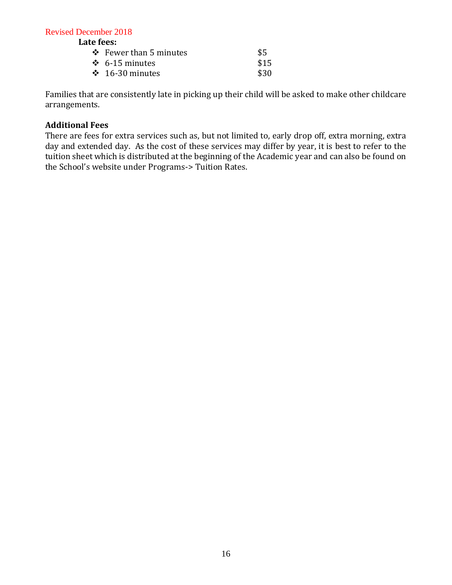**Late fees:**

| $\div$ Fewer than 5 minutes | \$5  |
|-----------------------------|------|
| $\div$ 6-15 minutes         | \$15 |
| $\div$ 16-30 minutes        | \$30 |
|                             |      |

Families that are consistently late in picking up their child will be asked to make other childcare arrangements.

#### **Additional Fees**

There are fees for extra services such as, but not limited to, early drop off, extra morning, extra day and extended day. As the cost of these services may differ by year, it is best to refer to the tuition sheet which is distributed at the beginning of the Academic year and can also be found on the School's website under Programs-> Tuition Rates.